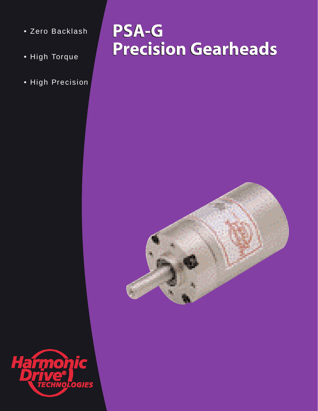- Zero Backlash
- High Torque
- High Precision

# **PSA-G PSA-G Precision Gearheads Precision Gearheads**



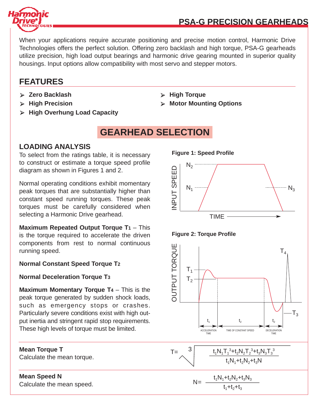

## **PSA-G PRECISION GEARHEADS**

When your applications require accurate positioning and precise motion control, Harmonic Drive Technologies offers the perfect solution. Offering zero backlash and high torque, PSA-G gearheads utilize precision, high load output bearings and harmonic drive gearing mounted in superior quality housings. Input options allow compatibility with most servo and stepper motors.

## **FEATURES**

- ➢ **Zero Backlash** ➢ **High Torque**
- 
- ➢ **High Overhung Load Capacity**

## **GEARHEAD SELECTION**

### **LOADING ANALYSIS**

To select from the ratings table, it is necessary to construct or estimate a torque speed profile diagram as shown in Figures 1 and 2.

Normal operating conditions exhibit momentary peak torques that are substantially higher than constant speed running torques. These peak torques must be carefully considered when selecting a Harmonic Drive gearhead.

**Maximum Repeated Output Torque T1** – This is the torque required to accelerate the driven components from rest to normal continuous running speed.

#### **Normal Constant Speed Torque T2**

#### **Normal Deceleration Torque T3**

**Maximum Momentary Torque T4** – This is the peak torque generated by sudden shock loads, such as emergency stops or crashes. Particularly severe conditions exist with high output inertia and stringent rapid stop requirements. These high levels of torque must be limited.

**Mean Torque T** Calculate the mean torque.

### **Mean Speed N**

Calculate the mean speed.

- 
- ➢ **High Precision** ➢ **Motor Mounting Options**







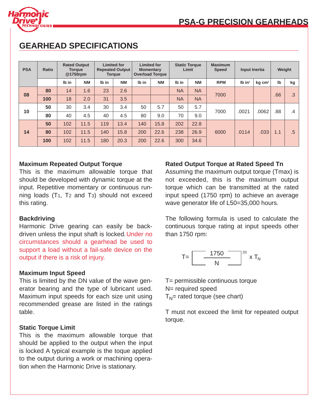

| <b>PSA</b> | Ratio | <b>Rated Output</b><br><b>Torque</b><br>@1750rpm |           | <b>Limited for</b><br><b>Repeated Output</b><br><b>Torque</b> |           | <b>Limited for</b><br><b>Momentary</b><br><b>Overload Torque</b> |           | <b>Static Torque</b><br>Limit |           | <b>Maximum</b><br><b>Speed</b> | Input Inertia        |                    | Weight       |        |
|------------|-------|--------------------------------------------------|-----------|---------------------------------------------------------------|-----------|------------------------------------------------------------------|-----------|-------------------------------|-----------|--------------------------------|----------------------|--------------------|--------------|--------|
|            |       | Ib in                                            | <b>NM</b> | Ib in                                                         | <b>NM</b> | Ib in                                                            | <b>NM</b> | Ib in                         | <b>NM</b> | <b>RPM</b>                     | $Ib$ in <sup>2</sup> | kg cm <sup>2</sup> | $\mathbf{I}$ | kg     |
| 08         | 80    | 14                                               | 1.6       | 23                                                            | 2.6       |                                                                  |           | <b>NA</b>                     | <b>NA</b> | 7000                           |                      |                    | .66          | .3     |
|            | 100   | 18                                               | 2.0       | 31                                                            | 3.5       |                                                                  |           | <b>NA</b>                     | <b>NA</b> |                                |                      |                    |              |        |
| 10         | 50    | 30                                               | 3.4       | 30                                                            | 3.4       | 50                                                               | 5.7       | 50                            | 5.7       | 7000                           | .0021                | .0062              | .88          | .4     |
|            | 80    | 40                                               | 4.5       | 40                                                            | 4.5       | 80                                                               | 9.0       | 70                            | 9.0       |                                |                      |                    |              |        |
| 14         | 50    | 102                                              | 11.5      | 119                                                           | 13.4      | 140                                                              | 15.8      | 202                           | 22.8      | 6000                           | .0114                | .033               | 1.1          | $.5\,$ |
|            | 80    | 102                                              | 11.5      | 140                                                           | 15.8      | 200                                                              | 22.6      | 238                           | 26.9      |                                |                      |                    |              |        |
|            | 100   | 102                                              | 11.5      | 180                                                           | 20.3      | 200                                                              | 22.6      | 300                           | 34.6      |                                |                      |                    |              |        |

## **GEARHEAD SPECIFICATIONS**

#### **Maximum Repeated Output Torque**

This is the maximum allowable torque that should be developed with dynamic torque at the input. Repetitive momentary or continuous running loads (T1, T2 and T3) should not exceed this rating.

#### **Backdriving**

Harmonic Drive gearing can easily be backdriven unless the input shaft is locked. Under no circumstances should a gearhead be used to support a load without a fail-safe device on the output if there is a risk of injury.

#### **Maximum Input Speed**

This is limited by the DN value of the wave generator bearing and the type of lubricant used. Maximum input speeds for each size unit using recommended grease are listed in the ratings table.

#### **Static Torque Limit**

This is the maximum allowable torque that should be applied to the output when the input is locked A typical example is the toque applied to the output during a work or machining operation when the Harmonic Drive is stationary.

#### **Rated Output Torque at Rated Speed Tn**

Assuming the maximum output torque (Tmax) is not exceeded, this is the maximum output torque which can be transmitted at the rated input speed (1750 rpm) to achieve an average wave generator life of L50=35,000 hours.

The following formula is used to calculate the continuous torque rating at input speeds other than 1750 rpm:



T= permissible continuous torque N= required speed  $T_N$ = rated torque (see chart)

T must not exceed the limit for repeated output torque.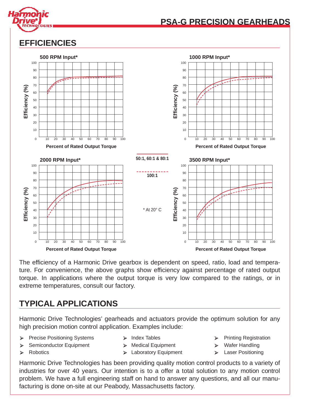

## **PSA-G PRECISION GEARHEADS**

## **EFFICIENCIES**



The efficiency of a Harmonic Drive gearbox is dependent on speed, ratio, load and temperature. For convenience, the above graphs show efficiency against percentage of rated output torque. In applications where the output torque is very low compared to the ratings, or in extreme temperatures, consult our factory.

## **TYPICAL APPLICATIONS**

Harmonic Drive Technologies' gearheads and actuators provide the optimum solution for any high precision motion control application. Examples include:

- ➢ Precise Positioning Systems ➢ Index Tables ➢ Printing Registration
	-
- ➢ Semiconductor Equipment ➢ Medical Equipment ➢ Wafer Handling
- 

- 
- 
- 
- ➢ Robotics ➢ Laboratory Equipment ➢ Laser Positioning

Harmonic Drive Technologies has been providing quality motion control products to a variety of industries for over 40 years. Our intention is to a offer a total solution to any motion control problem. We have a full engineering staff on hand to answer any questions, and all our manufacturing is done on-site at our Peabody, Massachusetts factory.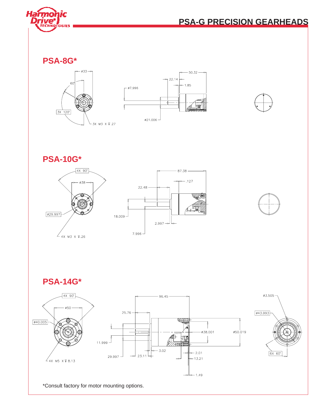

## **PSA-G PRECISION GEARHEADS**

**PSA-8G\***





**PSA-10G\***











\*Consult factory for motor mounting options.